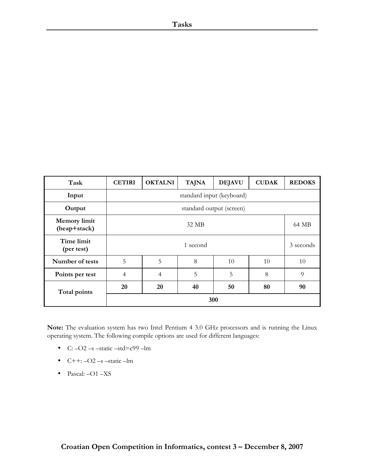| Task                                | <b>CETIRI</b>             | <b>OKTALNI</b> | <b>TAJNA</b> | <b>DEJAVU</b> | <b>CUDAK</b> | <b>REDOKS</b> |
|-------------------------------------|---------------------------|----------------|--------------|---------------|--------------|---------------|
| Input                               | standard input (keyboard) |                |              |               |              |               |
| Output                              | standard output (screen)  |                |              |               |              |               |
| <b>Memory</b> limit<br>(heap+stack) | 32 MB                     |                |              | 64 MB         |              |               |
| Time limit<br>(per test)            | 1 second                  |                |              | 3 seconds     |              |               |
| Number of tests                     | 5                         | 5              | 8            | 10            | 10           | 10            |
| Points per test                     | $\overline{4}$            | $\overline{4}$ | 5            | 5             | 8            | 9             |
| Total points                        | 20                        | 20             | 40           | 50            | 80           | 90            |
|                                     |                           |                |              | 300           |              |               |

Note: The evaluation system has two Intel Pentium 4 3.0 GHz processors and is running the Linux operating system. The following compile options are used for different languages:

- C:  $-O2$  –s –static –std=c99 –lm
- $\bullet$  C++:  $-O2$  –s –static –lm
- Pascal: -O1 -XS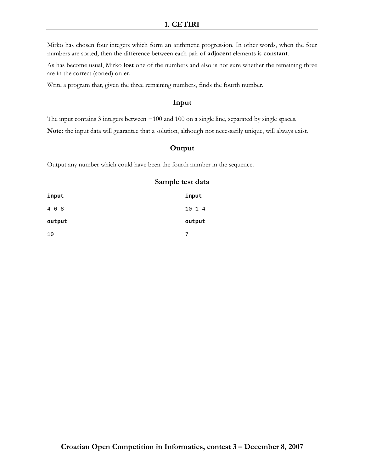# 1. CETIRI

Mirko has chosen four integers which form an arithmetic progression. In other words, when the four numbers are sorted, then the difference between each pair of adjacent elements is constant.

As has become usual, Mirko lost one of the numbers and also is not sure whether the remaining three are in the correct (sorted) order.

Write a program that, given the three remaining numbers, finds the fourth number.

#### Input

The input contains 3 integers between −100 and 100 on a single line, separated by single spaces.

Note: the input data will guarantee that a solution, although not necessarily unique, will always exist.

#### **Output**

Output any number which could have been the fourth number in the sequence.

| input  | input  |
|--------|--------|
| 4 6 8  | 10 1 4 |
| output | output |
| 10     | 7      |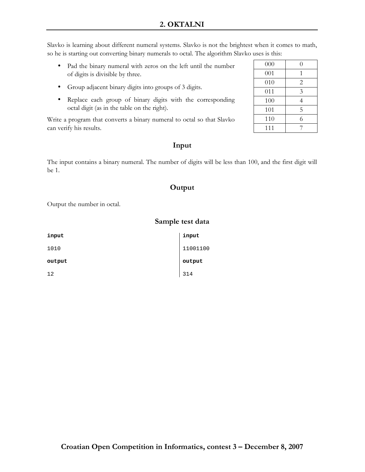Slavko is learning about different numeral systems. Slavko is not the brightest when it comes to math, so he is starting out converting binary numerals to octal. The algorithm Slavko uses is this:

- Pad the binary numeral with zeros on the left until the number of digits is divisible by three.
- Group adjacent binary digits into groups of 3 digits.
- Replace each group of binary digits with the corresponding octal digit (as in the table on the right).

Write a program that converts a binary numeral to octal so that Slavko can verify his results.

# Input

The input contains a binary numeral. The number of digits will be less than 100, and the first digit will be 1.

# Output

Sample test data

Output the number in octal.

| input  | input    |
|--------|----------|
| 1010   | 11001100 |
| output | output   |
| 12     | 314      |

# $000 \t 0$ 001 1 010 | 2 011 3 100 4 101 5 110 6 111 7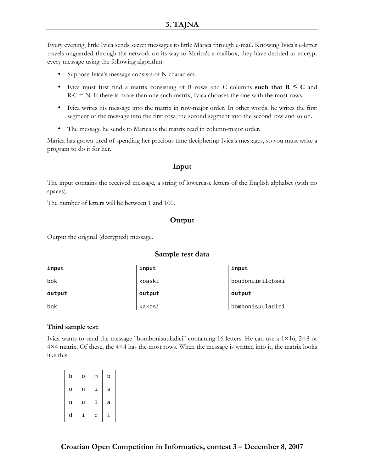Every evening, little Ivica sends secret messages to little Marica through e-mail. Knowing Ivica's e-letter travels unguarded through the network on its way to Marica's e-mailbox, they have decided to encrypt every message using the following algorithm:

- Suppose Ivica's message consists of N characters.
- Ivica must first find a matrix consisting of R rows and C columns such that  $R \leq C$  and  $R \cdot C = N$ . If there is more than one such matrix, Ivica chooses the one with the most rows.
- Ivica writes his message into the matrix in row-major order. In other words, he writes the first segment of the message into the first row, the second segment into the second row and so on.
- The message he sends to Marica is the matrix read in column-major order.

Marica has grown tired of spending her precious time deciphering Ivica's messages, so you must write a program to do it for her.

# Input

The input contains the received message, a string of lowercase letters of the English alphabet (with no spaces).

The number of letters will be between 1 and 100.

# **Output**

Output the original (decrypted) message.

# Sample test data

| input  | input  | input            |
|--------|--------|------------------|
| bok    | koaski | boudonuimilcbsai |
|        |        |                  |
| output | output | output           |

#### Third sample test:

Ivica wants to send the message "bombonisuuladici" containing 16 letters. He can use a  $1\times16$ ,  $2\times8$  or 4×4 matrix. Of these, the 4×4 has the most rows. When the message is written into it, the matrix looks like this:

| b | O | m | b |
|---|---|---|---|
| O | n | i | S |
| u | u | ı | a |
| d | i | C | i |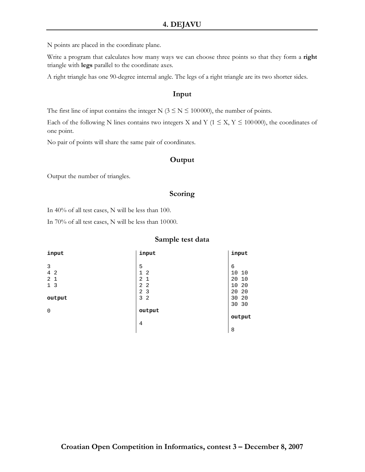N points are placed in the coordinate plane.

Write a program that calculates how many ways we can choose three points so that they form a right triangle with legs parallel to the coordinate axes.

A right triangle has one 90-degree internal angle. The legs of a right triangle are its two shorter sides.

#### Input

The first line of input contains the integer N ( $3 \le N \le 100000$ ), the number of points.

Each of the following N lines contains two integers X and Y ( $1 \le X, Y \le 100000$ ), the coordinates of one point.

No pair of points will share the same pair of coordinates.

#### **Output**

Output the number of triangles.

#### **Scoring**

In 40% of all test cases, N will be less than 100.

In 70% of all test cases, N will be less than 10000.

| input                            | input                          | input    |
|----------------------------------|--------------------------------|----------|
|                                  |                                |          |
| 3                                | 5                              | 6        |
| $\overline{4}$<br>$\overline{2}$ | $\mathbf 1$<br>$\overline{2}$  | 10<br>10 |
| 2<br>$\mathbf{1}$                | $\overline{2}$<br>$\mathbf{1}$ | 20<br>10 |
| 3<br>$\mathbf{1}$                | 2<br>$\overline{2}$            | 10<br>20 |
|                                  | 2<br>3                         | 20<br>20 |
| output                           | 3<br>$\overline{2}$            | 30<br>20 |
|                                  |                                | 30 30    |
| $\mathbf 0$                      | output                         |          |
|                                  |                                | output   |
|                                  | $\overline{4}$                 |          |
|                                  |                                | 8        |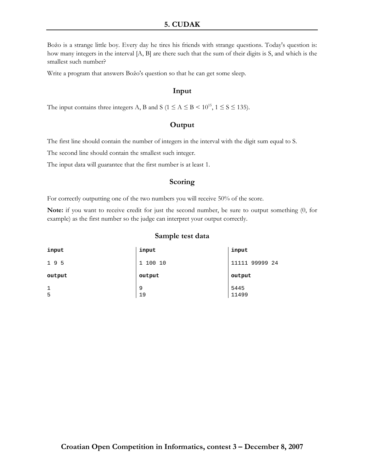# 5. CUDAK

Božo is a strange little boy. Every day he tires his friends with strange questions. Today's question is: how many integers in the interval [A, B] are there such that the sum of their digits is S, and which is the smallest such number?

Write a program that answers Božo's question so that he can get some sleep.

#### Input

The input contains three integers A, B and S ( $1 \le A \le B \lt 10^{15}$ ,  $1 \le S \le 135$ ).

#### **Output**

The first line should contain the number of integers in the interval with the digit sum equal to S.

The second line should contain the smallest such integer.

The input data will guarantee that the first number is at least 1.

#### Scoring

For correctly outputting one of the two numbers you will receive 50% of the score.

Note: if you want to receive credit for just the second number, be sure to output something (0, for example) as the first number so the judge can interpret your output correctly.

| input        | input                  | input          |
|--------------|------------------------|----------------|
| 195          | 100 10<br>$\mathbf{1}$ | 11111 99999 24 |
| output       | output                 | output         |
| $\mathbf{1}$ | 9                      | 5445           |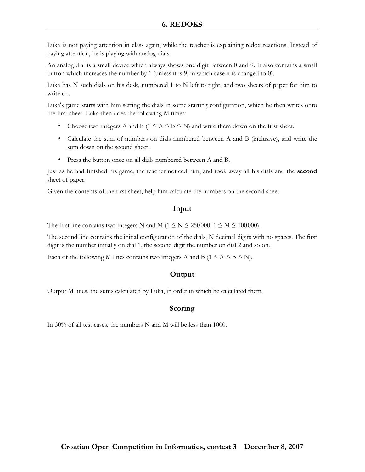Luka is not paying attention in class again, while the teacher is explaining redox reactions. Instead of paying attention, he is playing with analog dials.

An analog dial is a small device which always shows one digit between 0 and 9. It also contains a small button which increases the number by 1 (unless it is 9, in which case it is changed to 0).

Luka has N such dials on his desk, numbered 1 to N left to right, and two sheets of paper for him to write on.

Luka's game starts with him setting the dials in some starting configuration, which he then writes onto the first sheet. Luka then does the following M times:

- Choose two integers A and B ( $1 \le A \le B \le N$ ) and write them down on the first sheet.
- Calculate the sum of numbers on dials numbered between A and B (inclusive), and write the sum down on the second sheet.
- Press the button once on all dials numbered between A and B.

Just as he had finished his game, the teacher noticed him, and took away all his dials and the second sheet of paper.

Given the contents of the first sheet, help him calculate the numbers on the second sheet.

# Input

The first line contains two integers N and M ( $1 \le N \le 250000$ ,  $1 \le M \le 100000$ ).

The second line contains the initial configuration of the dials, N decimal digits with no spaces. The first digit is the number initially on dial 1, the second digit the number on dial 2 and so on.

Each of the following M lines contains two integers A and B ( $1 \le A \le B \le N$ ).

# **Output**

Output M lines, the sums calculated by Luka, in order in which he calculated them.

# Scoring

In 30% of all test cases, the numbers N and M will be less than 1000.